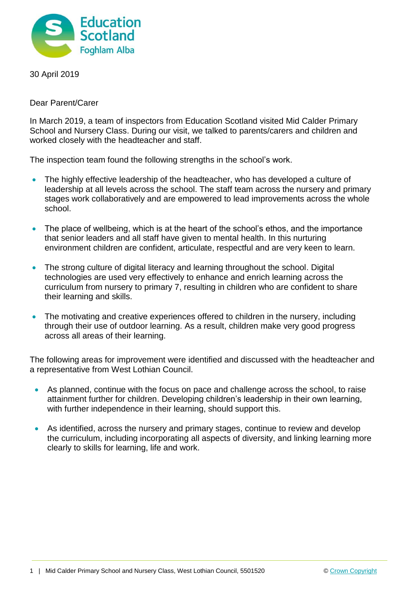

30 April 2019

Dear Parent/Carer

In March 2019, a team of inspectors from Education Scotland visited Mid Calder Primary School and Nursery Class. During our visit, we talked to parents/carers and children and worked closely with the headteacher and staff.

The inspection team found the following strengths in the school's work.

- The highly effective leadership of the headteacher, who has developed a culture of leadership at all levels across the school. The staff team across the nursery and primary stages work collaboratively and are empowered to lead improvements across the whole school.
- The place of wellbeing, which is at the heart of the school's ethos, and the importance that senior leaders and all staff have given to mental health. In this nurturing environment children are confident, articulate, respectful and are very keen to learn.
- The strong culture of digital literacy and learning throughout the school. Digital technologies are used very effectively to enhance and enrich learning across the curriculum from nursery to primary 7, resulting in children who are confident to share their learning and skills.
- The motivating and creative experiences offered to children in the nursery, including through their use of outdoor learning. As a result, children make very good progress across all areas of their learning.

The following areas for improvement were identified and discussed with the headteacher and a representative from West Lothian Council.

- As planned, continue with the focus on pace and challenge across the school, to raise attainment further for children. Developing children's leadership in their own learning, with further independence in their learning, should support this.
- As identified, across the nursery and primary stages, continue to review and develop the curriculum, including incorporating all aspects of diversity, and linking learning more clearly to skills for learning, life and work.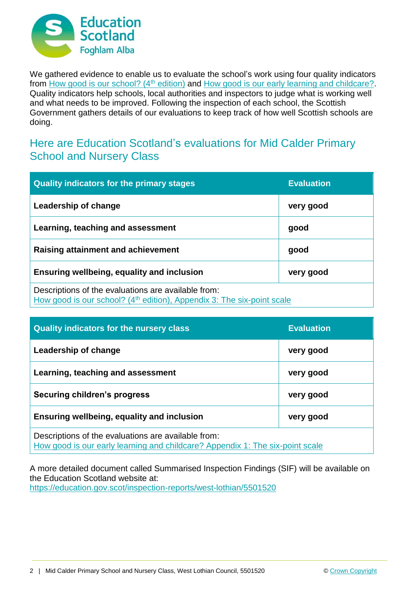

We gathered evidence to enable us to evaluate the school's work using four quality indicators from [How good is our school? \(4](https://education.gov.scot/improvement/Documents/Frameworks_SelfEvaluation/FRWK2_NIHeditHGIOS/FRWK2_HGIOS4.pdf)<sup>th</sup> edition) and [How good is our early learning and childcare?.](https://education.gov.scot/improvement/Documents/Frameworks_SelfEvaluation/FRWK1_NIHeditSelf-evaluationHGIELC/HGIOELC020316Revised.pdf) Quality indicators help schools, local authorities and inspectors to judge what is working well and what needs to be improved. Following the inspection of each school, the Scottish Government gathers details of our evaluations to keep track of how well Scottish schools are doing.

## Here are Education Scotland's evaluations for Mid Calder Primary School and Nursery Class

| <b>Quality indicators for the primary stages</b>                                                                                          | <b>Evaluation</b> |
|-------------------------------------------------------------------------------------------------------------------------------------------|-------------------|
| Leadership of change                                                                                                                      | very good         |
| Learning, teaching and assessment                                                                                                         | good              |
| Raising attainment and achievement                                                                                                        | good              |
| <b>Ensuring wellbeing, equality and inclusion</b>                                                                                         | very good         |
| Descriptions of the evaluations are available from:<br>How good is our school? (4 <sup>th</sup> edition), Appendix 3: The six-point scale |                   |

| <b>Quality indicators for the nursery class</b>                                                                                      | <b>Evaluation</b> |
|--------------------------------------------------------------------------------------------------------------------------------------|-------------------|
| Leadership of change                                                                                                                 | very good         |
| Learning, teaching and assessment                                                                                                    | very good         |
| <b>Securing children's progress</b>                                                                                                  | very good         |
| Ensuring wellbeing, equality and inclusion                                                                                           | very good         |
| Descriptions of the evaluations are available from:<br>How good is our early learning and childcare? Appendix 1: The six-point scale |                   |

A more detailed document called Summarised Inspection Findings (SIF) will be available on the Education Scotland website at: <https://education.gov.scot/inspection-reports/west-lothian/5501520>